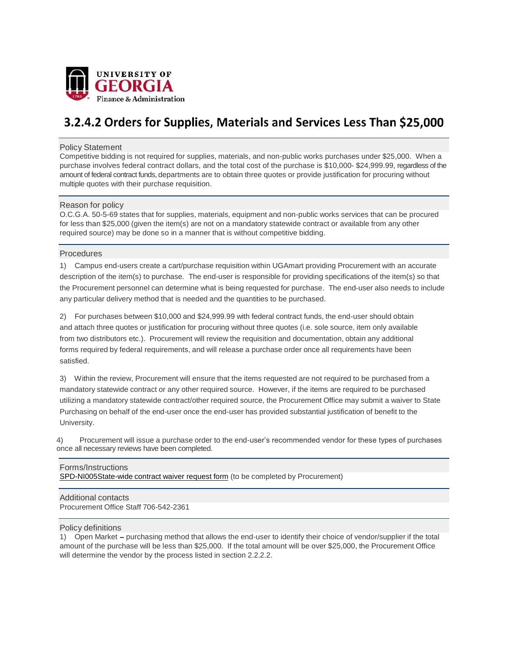

# 3.2.4.2 Orders for Supplies, Materials and Services Less Than \$25,000

### Policy Statement

Competitive bidding is not required for supplies, materials, and non-public works purchases under \$25,000. When a purchase involves federal contract dollars, and the total cost of the purchase is \$10,000- \$24,999.99, regardless of the amount of federal contract funds, departments are to obtain three quotes or provide justification for procuring without multiple quotes with their purchase requisition.

## Reason for policy

O.C.G.A. 50-5-69 states that for supplies, materials, equipment and non-public works services that can be procured for less than \$25,000 (given the item(s) are not on a mandatory statewide contract or available from any other required source) may be done so in a manner that is without competitive bidding.

#### Procedures

1) Campus end-users create a cart/purchase requisition within UGAmart providing Procurement with an accurate description of the item(s) to purchase. The end-user is responsible for providing specifications of the item(s) so that the Procurement personnel can determine what is being requested for purchase. The end-user also needs to include any particular delivery method that is needed and the quantities to be purchased.

2) For purchases between \$10,000 and \$24,999.99 with federal contract funds, the end-user should obtain and attach three quotes or justification for procuring without three quotes (i.e. sole source, item only available from two distributors etc.). Procurement will review the requisition and documentation, obtain any additional forms required by federal requirements, and will release a purchase order once all requirements have been satisfied.

3) Within the review, Procurement will ensure that the items requested are not required to be purchased from a mandatory statewide contract or any other required source. However, if the items are required to be purchased utilizing a mandatory statewide contract/other required source, the Procurement Office may submit a waiver to State Purchasing on behalf of the end-user once the end-user has provided substantial justification of benefit to the University.

4) Procurement will issue a purchase order to the end-user's recommended vendor for these types of purchases once all necessary reviews have been completed.

## Forms/Instructions

SPD-NI005State-wide contract waiver request form (to be completed by Procurement)

#### Additional contacts Procurement Office Staff 706-542-2361

## Policy definitions

1) Open Market - purchasing method that allows the end-user to identify their choice of vendor/supplier if the total amount of the purchase will be less than \$25,000. If the total amount will be over \$25,000, the Procurement Office will determine the vendor by the process listed in section 2.2.2.2.